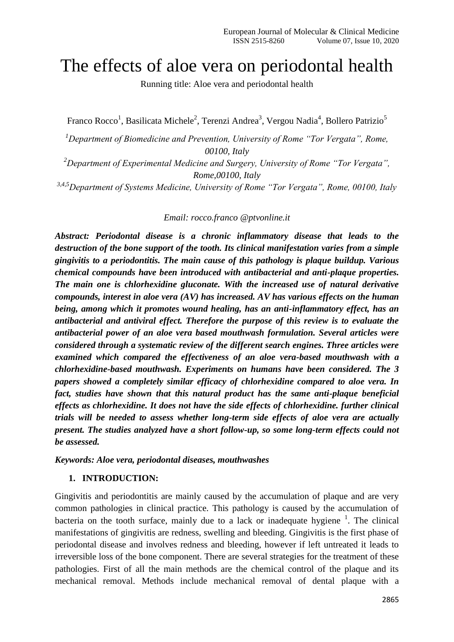# The effects of aloe vera on periodontal health

Running title: Aloe vera and periodontal health

Franco Rocco<sup>1</sup>, Basilicata Michele<sup>2</sup>, Terenzi Andrea<sup>3</sup>, Vergou Nadia<sup>4</sup>, Bollero Patrizio<sup>5</sup>

*<sup>1</sup>Department of Biomedicine and Prevention, University of Rome "Tor Vergata", Rome, 00100, Italy*

*<sup>2</sup>Department of Experimental Medicine and Surgery, University of Rome "Tor Vergata", Rome,00100, Italy*

*3,4,5Department of Systems Medicine, University of Rome "Tor Vergata", Rome, 00100, Italy*

#### *Email: rocco.franco @ptvonline.it*

*Abstract: Periodontal disease is a chronic inflammatory disease that leads to the destruction of the bone support of the tooth. Its clinical manifestation varies from a simple gingivitis to a periodontitis. The main cause of this pathology is plaque buildup. Various chemical compounds have been introduced with antibacterial and anti-plaque properties. The main one is chlorhexidine gluconate. With the increased use of natural derivative compounds, interest in aloe vera (AV) has increased. AV has various effects on the human being, among which it promotes wound healing, has an anti-inflammatory effect, has an antibacterial and antiviral effect. Therefore the purpose of this review is to evaluate the antibacterial power of an aloe vera based mouthwash formulation. Several articles were considered through a systematic review of the different search engines. Three articles were examined which compared the effectiveness of an aloe vera-based mouthwash with a chlorhexidine-based mouthwash. Experiments on humans have been considered. The 3 papers showed a completely similar efficacy of chlorhexidine compared to aloe vera. In fact, studies have shown that this natural product has the same anti-plaque beneficial effects as chlorhexidine. It does not have the side effects of chlorhexidine. further clinical trials will be needed to assess whether long-term side effects of aloe vera are actually present. The studies analyzed have a short follow-up, so some long-term effects could not be assessed.*

#### *Keywords: Aloe vera, periodontal diseases, mouthwashes*

#### **1. INTRODUCTION:**

Gingivitis and periodontitis are mainly caused by the accumulation of plaque and are very common pathologies in clinical practice. This pathology is caused by the accumulation of bacteria on the tooth surface, mainly due to a lack or inadequate hygiene  $1$ . The clinical manifestations of gingivitis are redness, swelling and bleeding. Gingivitis is the first phase of periodontal disease and involves redness and bleeding, however if left untreated it leads to irreversible loss of the bone component. There are several strategies for the treatment of these pathologies. First of all the main methods are the chemical control of the plaque and its mechanical removal. Methods include mechanical removal of dental plaque with a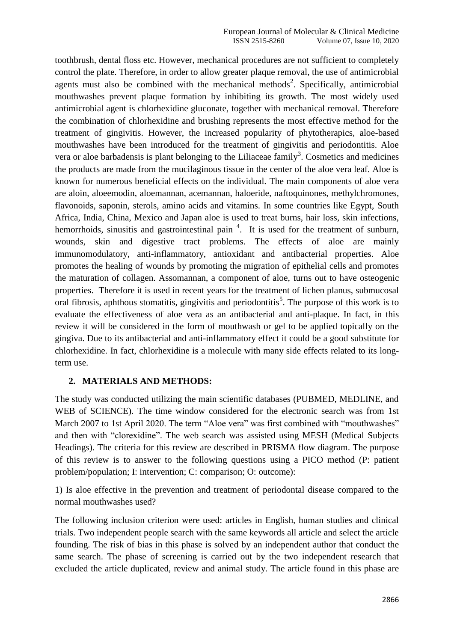toothbrush, dental floss etc. However, mechanical procedures are not sufficient to completely control the plate. Therefore, in order to allow greater plaque removal, the use of antimicrobial agents must also be combined with the mechanical methods<sup>2</sup>. Specifically, antimicrobial mouthwashes prevent plaque formation by inhibiting its growth. The most widely used antimicrobial agent is chlorhexidine gluconate, together with mechanical removal. Therefore the combination of chlorhexidine and brushing represents the most effective method for the treatment of gingivitis. However, the increased popularity of phytotherapics, aloe-based mouthwashes have been introduced for the treatment of gingivitis and periodontitis. Aloe vera or aloe barbadensis is plant belonging to the Liliaceae family<sup>3</sup>. Cosmetics and medicines the products are made from the mucilaginous tissue in the center of the aloe vera leaf. Aloe is known for numerous beneficial effects on the individual. The main components of aloe vera are aloin, aloeemodin, aloemannan, acemannan, haloeride, naftoquinones, methylchromones, flavonoids, saponin, sterols, amino acids and vitamins. In some countries like Egypt, South Africa, India, China, Mexico and Japan aloe is used to treat burns, hair loss, skin infections, hemorrhoids, sinusitis and gastrointestinal pain<sup>4</sup>. It is used for the treatment of sunburn, wounds, skin and digestive tract problems. The effects of aloe are mainly immunomodulatory, anti-inflammatory, antioxidant and antibacterial properties. Aloe promotes the healing of wounds by promoting the migration of epithelial cells and promotes the maturation of collagen. Assomannan, a component of aloe, turns out to have osteogenic properties. Therefore it is used in recent years for the treatment of lichen planus, submucosal oral fibrosis, aphthous stomatitis, gingivitis and periodontitis<sup>5</sup>. The purpose of this work is to evaluate the effectiveness of aloe vera as an antibacterial and anti-plaque. In fact, in this review it will be considered in the form of mouthwash or gel to be applied topically on the gingiva. Due to its antibacterial and anti-inflammatory effect it could be a good substitute for chlorhexidine. In fact, chlorhexidine is a molecule with many side effects related to its longterm use.

## **2. MATERIALS AND METHODS:**

The study was conducted utilizing the main scientific databases (PUBMED, MEDLINE, and WEB of SCIENCE). The time window considered for the electronic search was from 1st March 2007 to 1st April 2020. The term "Aloe vera" was first combined with "mouthwashes" and then with "clorexidine". The web search was assisted using MESH (Medical Subjects Headings). The criteria for this review are described in PRISMA flow diagram. The purpose of this review is to answer to the following questions using a PICO method (P: patient problem/population; I: intervention; C: comparison; O: outcome):

1) Is aloe effective in the prevention and treatment of periodontal disease compared to the normal mouthwashes used?

The following inclusion criterion were used: articles in English, human studies and clinical trials. Two independent people search with the same keywords all article and select the article founding. The risk of bias in this phase is solved by an independent author that conduct the same search. The phase of screening is carried out by the two independent research that excluded the article duplicated, review and animal study. The article found in this phase are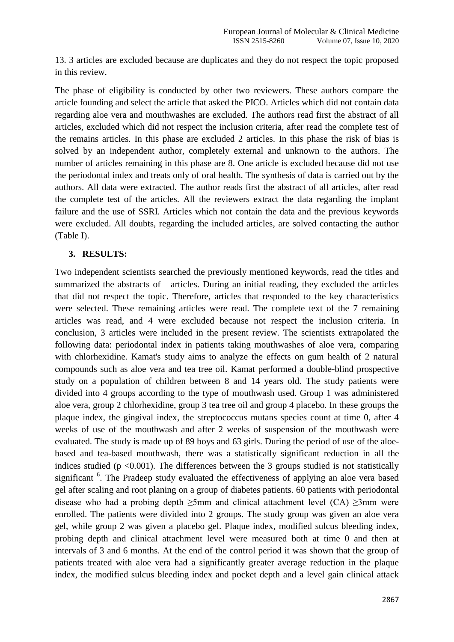13. 3 articles are excluded because are duplicates and they do not respect the topic proposed in this review.

The phase of eligibility is conducted by other two reviewers. These authors compare the article founding and select the article that asked the PICO. Articles which did not contain data regarding aloe vera and mouthwashes are excluded. The authors read first the abstract of all articles, excluded which did not respect the inclusion criteria, after read the complete test of the remains articles. In this phase are excluded 2 articles. In this phase the risk of bias is solved by an independent author, completely external and unknown to the authors. The number of articles remaining in this phase are 8. One article is excluded because did not use the periodontal index and treats only of oral health. The synthesis of data is carried out by the authors. All data were extracted. The author reads first the abstract of all articles, after read the complete test of the articles. All the reviewers extract the data regarding the implant failure and the use of SSRI. Articles which not contain the data and the previous keywords were excluded. All doubts, regarding the included articles, are solved contacting the author (Table I).

## **3. RESULTS:**

Two independent scientists searched the previously mentioned keywords, read the titles and summarized the abstracts of articles. During an initial reading, they excluded the articles that did not respect the topic. Therefore, articles that responded to the key characteristics were selected. These remaining articles were read. The complete text of the 7 remaining articles was read, and 4 were excluded because not respect the inclusion criteria. In conclusion, 3 articles were included in the present review. The scientists extrapolated the following data: periodontal index in patients taking mouthwashes of aloe vera, comparing with chlorhexidine. Kamat's study aims to analyze the effects on gum health of 2 natural compounds such as aloe vera and tea tree oil. Kamat performed a double-blind prospective study on a population of children between 8 and 14 years old. The study patients were divided into 4 groups according to the type of mouthwash used. Group 1 was administered aloe vera, group 2 chlorhexidine, group 3 tea tree oil and group 4 placebo. In these groups the plaque index, the gingival index, the streptococcus mutans species count at time 0, after 4 weeks of use of the mouthwash and after 2 weeks of suspension of the mouthwash were evaluated. The study is made up of 89 boys and 63 girls. During the period of use of the aloebased and tea-based mouthwash, there was a statistically significant reduction in all the indices studied ( $p \le 0.001$ ). The differences between the 3 groups studied is not statistically significant <sup>6</sup>. The Pradeep study evaluated the effectiveness of applying an aloe vera based gel after scaling and root planing on a group of diabetes patients. 60 patients with periodontal disease who had a probing depth  $\geq$ 5mm and clinical attachment level (CA)  $\geq$ 3mm were enrolled. The patients were divided into 2 groups. The study group was given an aloe vera gel, while group 2 was given a placebo gel. Plaque index, modified sulcus bleeding index, probing depth and clinical attachment level were measured both at time 0 and then at intervals of 3 and 6 months. At the end of the control period it was shown that the group of patients treated with aloe vera had a significantly greater average reduction in the plaque index, the modified sulcus bleeding index and pocket depth and a level gain clinical attack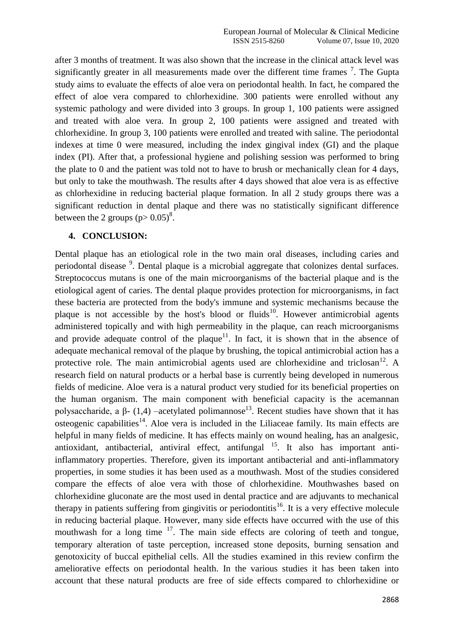after 3 months of treatment. It was also shown that the increase in the clinical attack level was significantly greater in all measurements made over the different time frames  $\frac{7}{1}$ . The Gupta study aims to evaluate the effects of aloe vera on periodontal health. In fact, he compared the effect of aloe vera compared to chlorhexidine. 300 patients were enrolled without any systemic pathology and were divided into 3 groups. In group 1, 100 patients were assigned and treated with aloe vera. In group 2, 100 patients were assigned and treated with chlorhexidine. In group 3, 100 patients were enrolled and treated with saline. The periodontal indexes at time 0 were measured, including the index gingival index (GI) and the plaque index (PI). After that, a professional hygiene and polishing session was performed to bring the plate to 0 and the patient was told not to have to brush or mechanically clean for 4 days, but only to take the mouthwash. The results after 4 days showed that aloe vera is as effective as chlorhexidine in reducing bacterial plaque formation. In all 2 study groups there was a significant reduction in dental plaque and there was no statistically significant difference between the 2 groups  $(p > 0.05)^8$ .

#### **4. CONCLUSION:**

Dental plaque has an etiological role in the two main oral diseases, including caries and periodontal disease <sup>9</sup>. Dental plaque is a microbial aggregate that colonizes dental surfaces. Streptococcus mutans is one of the main microorganisms of the bacterial plaque and is the etiological agent of caries. The dental plaque provides protection for microorganisms, in fact these bacteria are protected from the body's immune and systemic mechanisms because the plaque is not accessible by the host's blood or fluids<sup>10</sup>. However antimicrobial agents administered topically and with high permeability in the plaque, can reach microorganisms and provide adequate control of the plaque<sup>11</sup>. In fact, it is shown that in the absence of adequate mechanical removal of the plaque by brushing, the topical antimicrobial action has a protective role. The main antimicrobial agents used are chlorhexidine and triclosan<sup>12</sup>. A research field on natural products or a herbal base is currently being developed in numerous fields of medicine. Aloe vera is a natural product very studied for its beneficial properties on the human organism. The main component with beneficial capacity is the acemannan polysaccharide, a β- (1,4) –acetylated polimannose<sup>13</sup>. Recent studies have shown that it has osteogenic capabilities<sup>14</sup>. Aloe vera is included in the Liliaceae family. Its main effects are helpful in many fields of medicine. It has effects mainly on wound healing, has an analgesic, antioxidant, antibacterial, antiviral effect, antifungal  $^{15}$ . It also has important antiinflammatory properties. Therefore, given its important antibacterial and anti-inflammatory properties, in some studies it has been used as a mouthwash. Most of the studies considered compare the effects of aloe vera with those of chlorhexidine. Mouthwashes based on chlorhexidine gluconate are the most used in dental practice and are adjuvants to mechanical therapy in patients suffering from gingivitis or periodontitis<sup>16</sup>. It is a very effective molecule in reducing bacterial plaque. However, many side effects have occurred with the use of this mouthwash for a long time  $17$ . The main side effects are coloring of teeth and tongue, temporary alteration of taste perception, increased stone deposits, burning sensation and genotoxicity of buccal epithelial cells. All the studies examined in this review confirm the ameliorative effects on periodontal health. In the various studies it has been taken into account that these natural products are free of side effects compared to chlorhexidine or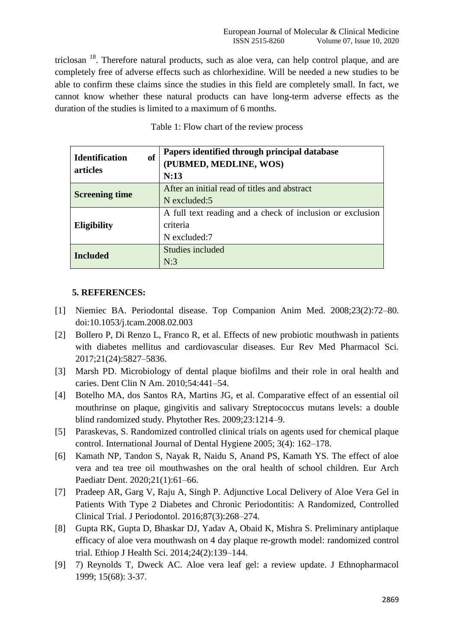triclosan  $18$ . Therefore natural products, such as aloe vera, can help control plaque, and are completely free of adverse effects such as chlorhexidine. Will be needed a new studies to be able to confirm these claims since the studies in this field are completely small. In fact, we cannot know whether these natural products can have long-term adverse effects as the duration of the studies is limited to a maximum of 6 months.

| <b>of</b><br><b>Identification</b><br>articles | Papers identified through principal database<br>(PUBMED, MEDLINE, WOS)<br>N:13 |
|------------------------------------------------|--------------------------------------------------------------------------------|
| <b>Screening time</b>                          | After an initial read of titles and abstract                                   |
|                                                | N excluded:5                                                                   |
| Eligibility                                    | A full text reading and a check of inclusion or exclusion                      |
|                                                | criteria                                                                       |
|                                                | N excluded:7                                                                   |
| <b>Included</b>                                | Studies included                                                               |
|                                                | N:3                                                                            |

Table 1: Flow chart of the review process

## **5. REFERENCES:**

- [1] Niemiec BA. Periodontal disease. Top Companion Anim Med. 2008;23(2):72–80. doi:10.1053/j.tcam.2008.02.003
- [2] Bollero P, Di Renzo L, Franco R, et al. Effects of new probiotic mouthwash in patients with diabetes mellitus and cardiovascular diseases. Eur Rev Med Pharmacol Sci. 2017;21(24):5827–5836.
- [3] Marsh PD. Microbiology of dental plaque biofilms and their role in oral health and caries. Dent Clin N Am. 2010;54:441–54.
- [4] Botelho MA, dos Santos RA, Martins JG, et al. Comparative effect of an essential oil mouthrinse on plaque, gingivitis and salivary Streptococcus mutans levels: a double blind randomized study. Phytother Res. 2009;23:1214–9.
- [5] Paraskevas, S. Randomized controlled clinical trials on agents used for chemical plaque control. International Journal of Dental Hygiene 2005; 3(4): 162–178.
- [6] Kamath NP, Tandon S, Nayak R, Naidu S, Anand PS, Kamath YS. The effect of aloe vera and tea tree oil mouthwashes on the oral health of school children. Eur Arch Paediatr Dent. 2020;21(1):61–66.
- [7] Pradeep AR, Garg V, Raju A, Singh P. Adjunctive Local Delivery of Aloe Vera Gel in Patients With Type 2 Diabetes and Chronic Periodontitis: A Randomized, Controlled Clinical Trial. J Periodontol. 2016;87(3):268–274.
- [8] Gupta RK, Gupta D, Bhaskar DJ, Yadav A, Obaid K, Mishra S. Preliminary antiplaque efficacy of aloe vera mouthwash on 4 day plaque re-growth model: randomized control trial. Ethiop J Health Sci. 2014;24(2):139–144.
- [9] 7) Reynolds T, Dweck AC. Aloe vera leaf gel: a review update. J Ethnopharmacol 1999; 15(68): 3-37.